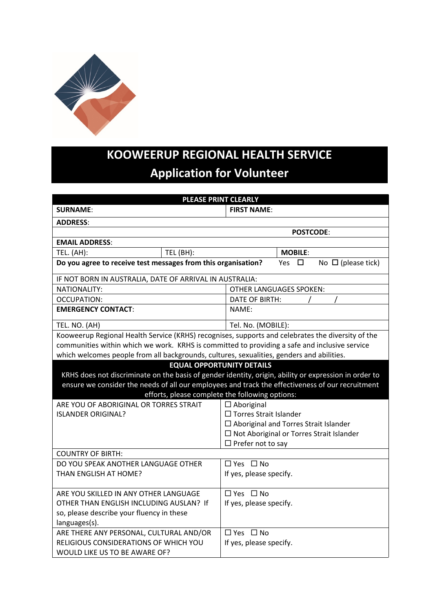

## **KOOWEERUP REGIONAL HEALTH SERVICE Application for Volunteer**

| <b>PLEASE PRINT CLEARLY</b>                                                                                                                                                                                                                                                                      |                                                 |  |  |  |  |
|--------------------------------------------------------------------------------------------------------------------------------------------------------------------------------------------------------------------------------------------------------------------------------------------------|-------------------------------------------------|--|--|--|--|
| <b>SURNAME:</b>                                                                                                                                                                                                                                                                                  | <b>FIRST NAME:</b>                              |  |  |  |  |
| <b>ADDRESS:</b>                                                                                                                                                                                                                                                                                  |                                                 |  |  |  |  |
| <b>POSTCODE:</b>                                                                                                                                                                                                                                                                                 |                                                 |  |  |  |  |
| <b>EMAIL ADDRESS:</b>                                                                                                                                                                                                                                                                            |                                                 |  |  |  |  |
| TEL. (AH):<br>TEL (BH):                                                                                                                                                                                                                                                                          | <b>MOBILE:</b>                                  |  |  |  |  |
| Do you agree to receive test messages from this organisation?<br>No $\Box$ (please tick)<br>□<br>Yes                                                                                                                                                                                             |                                                 |  |  |  |  |
| IF NOT BORN IN AUSTRALIA, DATE OF ARRIVAL IN AUSTRALIA:                                                                                                                                                                                                                                          |                                                 |  |  |  |  |
| <b>NATIONALITY:</b>                                                                                                                                                                                                                                                                              | <b>OTHER LANGUAGES SPOKEN:</b>                  |  |  |  |  |
| OCCUPATION:                                                                                                                                                                                                                                                                                      | DATE OF BIRTH:                                  |  |  |  |  |
| <b>EMERGENCY CONTACT:</b>                                                                                                                                                                                                                                                                        | NAME:                                           |  |  |  |  |
| TEL. NO. (AH)                                                                                                                                                                                                                                                                                    | Tel. No. (MOBILE):                              |  |  |  |  |
| Kooweerup Regional Health Service (KRHS) recognises, supports and celebrates the diversity of the                                                                                                                                                                                                |                                                 |  |  |  |  |
| communities within which we work. KRHS is committed to providing a safe and inclusive service                                                                                                                                                                                                    |                                                 |  |  |  |  |
| which welcomes people from all backgrounds, cultures, sexualities, genders and abilities.                                                                                                                                                                                                        |                                                 |  |  |  |  |
| <b>EQUAL OPPORTUNITY DETAILS</b><br>KRHS does not discriminate on the basis of gender identity, origin, ability or expression in order to<br>ensure we consider the needs of all our employees and track the effectiveness of our recruitment<br>efforts, please complete the following options: |                                                 |  |  |  |  |
| ARE YOU OF ABORIGINAL OR TORRES STRAIT                                                                                                                                                                                                                                                           | $\Box$ Aboriginal                               |  |  |  |  |
| <b>ISLANDER ORIGINAL?</b>                                                                                                                                                                                                                                                                        | □ Torres Strait Islander                        |  |  |  |  |
|                                                                                                                                                                                                                                                                                                  | $\square$ Aboriginal and Torres Strait Islander |  |  |  |  |
|                                                                                                                                                                                                                                                                                                  | $\Box$ Not Aboriginal or Torres Strait Islander |  |  |  |  |
|                                                                                                                                                                                                                                                                                                  | $\Box$ Prefer not to say                        |  |  |  |  |
| <b>COUNTRY OF BIRTH:</b>                                                                                                                                                                                                                                                                         |                                                 |  |  |  |  |
| DO YOU SPEAK ANOTHER LANGUAGE OTHER                                                                                                                                                                                                                                                              | $\Box$ Yes $\Box$ No                            |  |  |  |  |
| THAN ENGLISH AT HOME?                                                                                                                                                                                                                                                                            | If yes, please specify.                         |  |  |  |  |
| ARE YOU SKILLED IN ANY OTHER LANGUAGE                                                                                                                                                                                                                                                            | □ Yes □ No                                      |  |  |  |  |
| OTHER THAN ENGLISH INCLUDING AUSLAN? If                                                                                                                                                                                                                                                          | If yes, please specify.                         |  |  |  |  |
| so, please describe your fluency in these                                                                                                                                                                                                                                                        |                                                 |  |  |  |  |
| languages(s).                                                                                                                                                                                                                                                                                    |                                                 |  |  |  |  |
| ARE THERE ANY PERSONAL, CULTURAL AND/OR                                                                                                                                                                                                                                                          | $\Box$ Yes $\Box$ No                            |  |  |  |  |
| RELIGIOUS CONSIDERATIONS OF WHICH YOU                                                                                                                                                                                                                                                            | If yes, please specify.                         |  |  |  |  |
| WOULD LIKE US TO BE AWARE OF?                                                                                                                                                                                                                                                                    |                                                 |  |  |  |  |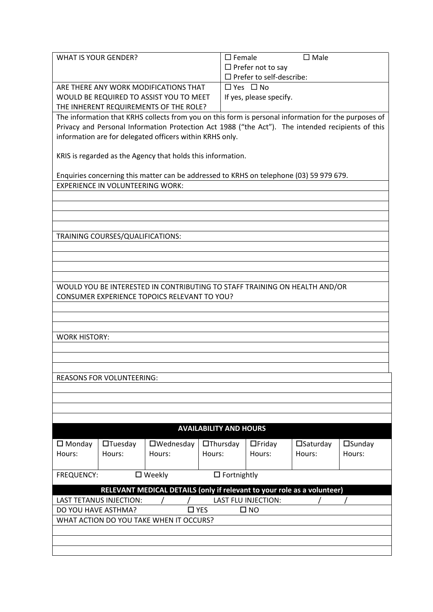| WHAT IS YOUR GENDER?                    | $\square$ Male<br>$\Box$ Female |
|-----------------------------------------|---------------------------------|
|                                         | $\Box$ Prefer not to say        |
|                                         | $\Box$ Prefer to self-describe: |
| ARE THERE ANY WORK MODIFICATIONS THAT   | $\Box$ Yes $\Box$ No            |
| WOULD BE REQUIRED TO ASSIST YOU TO MEET | If yes, please specify.         |
| THE INHERENT REQUIREMENTS OF THE ROLE?  |                                 |

The information that KRHS collects from you on this form is personal information for the purposes of Privacy and Personal Information Protection Act 1988 ("the Act"). The intended recipients of this information are for delegated officers within KRHS only.

KRIS is regarded as the Agency that holds this information.

Enquiries concerning this matter can be addressed to KRHS on telephone (03) 59 979 679. EXPERIENCE IN VOLUNTEERING WORK:

TRAINING COURSES/QUALIFICATIONS:

WOULD YOU BE INTERESTED IN CONTRIBUTING TO STAFF TRAINING ON HEALTH AND/OR CONSUMER EXPERIENCE TOPOICS RELEVANT TO YOU?

WORK HISTORY:

REASONS FOR VOLUNTEERING:

| <b>AVAILABILITY AND HOURS</b>                                           |                                |                  |                 |                            |                    |                  |
|-------------------------------------------------------------------------|--------------------------------|------------------|-----------------|----------------------------|--------------------|------------------|
| $\square$ Monday                                                        | $\Box$ Tuesday                 | $\Box$ Wednesday | $\Box$ Thursday | $\Box$ Friday              | $\square$ Saturday | $\square$ Sunday |
| Hours:                                                                  | Hours:                         | Hours:           | Hours:          | Hours:                     | Hours:             | Hours:           |
|                                                                         |                                |                  |                 |                            |                    |                  |
| $\square$ Weekly<br><b>FREQUENCY:</b><br>$\Box$ Fortnightly             |                                |                  |                 |                            |                    |                  |
|                                                                         |                                |                  |                 |                            |                    |                  |
| RELEVANT MEDICAL DETAILS (only if relevant to your role as a volunteer) |                                |                  |                 |                            |                    |                  |
|                                                                         | <b>LAST TETANUS INJECTION:</b> |                  |                 | <b>LAST FLU INJECTION:</b> |                    |                  |
| DO YOU HAVE ASTHMA?<br>$\Box$ YES<br>$\square$ NO                       |                                |                  |                 |                            |                    |                  |
| WHAT ACTION DO YOU TAKE WHEN IT OCCURS?                                 |                                |                  |                 |                            |                    |                  |
|                                                                         |                                |                  |                 |                            |                    |                  |
|                                                                         |                                |                  |                 |                            |                    |                  |
|                                                                         |                                |                  |                 |                            |                    |                  |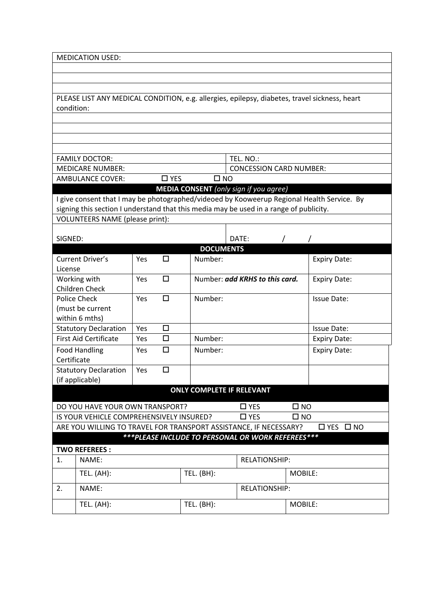| <b>MEDICATION USED:</b>                                                                   |                                                                                        |                                                                 |        |                      |                                               |              |                                                                                               |
|-------------------------------------------------------------------------------------------|----------------------------------------------------------------------------------------|-----------------------------------------------------------------|--------|----------------------|-----------------------------------------------|--------------|-----------------------------------------------------------------------------------------------|
|                                                                                           |                                                                                        |                                                                 |        |                      |                                               |              |                                                                                               |
|                                                                                           |                                                                                        |                                                                 |        |                      |                                               |              |                                                                                               |
|                                                                                           |                                                                                        |                                                                 |        |                      |                                               |              |                                                                                               |
| condition:                                                                                |                                                                                        |                                                                 |        |                      |                                               |              | PLEASE LIST ANY MEDICAL CONDITION, e.g. allergies, epilepsy, diabetes, travel sickness, heart |
|                                                                                           |                                                                                        |                                                                 |        |                      |                                               |              |                                                                                               |
|                                                                                           |                                                                                        |                                                                 |        |                      |                                               |              |                                                                                               |
|                                                                                           |                                                                                        |                                                                 |        |                      |                                               |              |                                                                                               |
|                                                                                           |                                                                                        |                                                                 |        |                      |                                               |              |                                                                                               |
|                                                                                           | <b>FAMILY DOCTOR:</b>                                                                  |                                                                 |        |                      | TEL. NO.:                                     |              |                                                                                               |
|                                                                                           | <b>MEDICARE NUMBER:</b><br><b>AMBULANCE COVER:</b>                                     | <b>CONCESSION CARD NUMBER:</b><br>$\square$ YES<br>$\square$ NO |        |                      |                                               |              |                                                                                               |
|                                                                                           |                                                                                        |                                                                 |        |                      | <b>MEDIA CONSENT</b> (only sign if you agree) |              |                                                                                               |
|                                                                                           |                                                                                        |                                                                 |        |                      |                                               |              | I give consent that I may be photographed/videoed by Kooweerup Regional Health Service. By    |
|                                                                                           | signing this section I understand that this media may be used in a range of publicity. |                                                                 |        |                      |                                               |              |                                                                                               |
|                                                                                           | VOLUNTEERS NAME (please print):                                                        |                                                                 |        |                      |                                               |              |                                                                                               |
|                                                                                           |                                                                                        |                                                                 |        |                      |                                               |              |                                                                                               |
| SIGNED:                                                                                   |                                                                                        |                                                                 |        |                      | DATE:                                         |              |                                                                                               |
|                                                                                           |                                                                                        |                                                                 |        | <b>DOCUMENTS</b>     |                                               |              |                                                                                               |
|                                                                                           | Current Driver's                                                                       | Yes                                                             | $\Box$ | Number:              |                                               |              | <b>Expiry Date:</b>                                                                           |
| License                                                                                   |                                                                                        |                                                                 | $\Box$ |                      | Number: add KRHS to this card.                |              |                                                                                               |
|                                                                                           | Working with<br>Children Check                                                         | Yes                                                             |        |                      |                                               |              | <b>Expiry Date:</b>                                                                           |
|                                                                                           | <b>Police Check</b>                                                                    | Yes                                                             | □      | Number:              |                                               |              | <b>Issue Date:</b>                                                                            |
|                                                                                           | (must be current                                                                       |                                                                 |        |                      |                                               |              |                                                                                               |
|                                                                                           | within 6 mths)                                                                         |                                                                 |        |                      |                                               |              |                                                                                               |
|                                                                                           | <b>Statutory Declaration</b>                                                           | Yes                                                             | $\Box$ |                      |                                               |              | <b>Issue Date:</b>                                                                            |
|                                                                                           | <b>First Aid Certificate</b>                                                           | Yes                                                             | $\Box$ | Number:              |                                               |              | <b>Expiry Date:</b>                                                                           |
| Certificate                                                                               | <b>Food Handling</b>                                                                   | Yes                                                             | □      | Number:              |                                               |              | <b>Expiry Date:</b>                                                                           |
|                                                                                           | <b>Statutory Declaration</b>                                                           | Yes                                                             | $\Box$ |                      |                                               |              |                                                                                               |
|                                                                                           | (if applicable)                                                                        |                                                                 |        |                      |                                               |              |                                                                                               |
| <b>ONLY COMPLETE IF RELEVANT</b>                                                          |                                                                                        |                                                                 |        |                      |                                               |              |                                                                                               |
|                                                                                           | DO YOU HAVE YOUR OWN TRANSPORT?                                                        |                                                                 |        |                      | $\square$ YES                                 | $\square$ NO |                                                                                               |
|                                                                                           | IS YOUR VEHICLE COMPREHENSIVELY INSURED?                                               |                                                                 |        |                      | $\square$ YES                                 | $\square$ NO |                                                                                               |
| ARE YOU WILLING TO TRAVEL FOR TRANSPORT ASSISTANCE, IF NECESSARY?<br>$\Box$ YES $\Box$ NO |                                                                                        |                                                                 |        |                      |                                               |              |                                                                                               |
| *** PLEASE INCLUDE TO PERSONAL OR WORK REFEREES***                                        |                                                                                        |                                                                 |        |                      |                                               |              |                                                                                               |
| <b>TWO REFEREES:</b>                                                                      |                                                                                        |                                                                 |        |                      |                                               |              |                                                                                               |
| 1.                                                                                        | NAME:                                                                                  |                                                                 |        | <b>RELATIONSHIP:</b> |                                               |              |                                                                                               |
|                                                                                           | <b>TEL.</b> (AH):                                                                      |                                                                 |        | TEL. (BH):           |                                               |              | MOBILE:                                                                                       |
| 2.                                                                                        | NAME:                                                                                  |                                                                 |        |                      | <b>RELATIONSHIP:</b>                          |              |                                                                                               |
|                                                                                           | TEL. (AH):                                                                             |                                                                 |        | TEL. (BH):           |                                               |              | MOBILE:                                                                                       |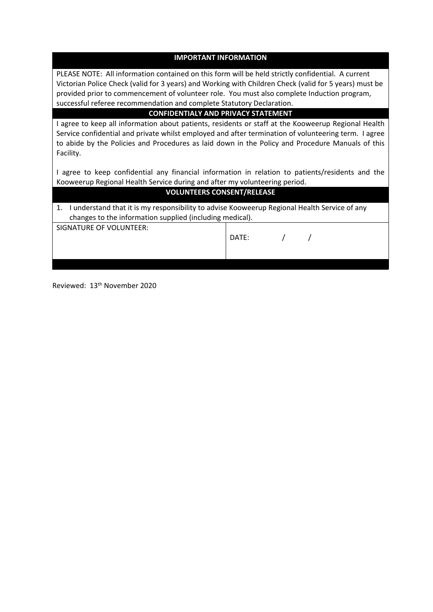| <b>IMPORTANT INFORMATION</b>                                                                                                                                                                                                                                                                                                 |       |  |  |  |
|------------------------------------------------------------------------------------------------------------------------------------------------------------------------------------------------------------------------------------------------------------------------------------------------------------------------------|-------|--|--|--|
| PLEASE NOTE: All information contained on this form will be held strictly confidential. A current<br>Victorian Police Check (valid for 3 years) and Working with Children Check (valid for 5 years) must be<br>provided prior to commencement of volunteer role. You must also complete Induction program,                   |       |  |  |  |
| successful referee recommendation and complete Statutory Declaration.                                                                                                                                                                                                                                                        |       |  |  |  |
| <b>CONFIDENTIALY AND PRIVACY STATEMENT</b>                                                                                                                                                                                                                                                                                   |       |  |  |  |
| I agree to keep all information about patients, residents or staff at the Kooweerup Regional Health<br>Service confidential and private whilst employed and after termination of volunteering term. I agree<br>to abide by the Policies and Procedures as laid down in the Policy and Procedure Manuals of this<br>Facility. |       |  |  |  |
| I agree to keep confidential any financial information in relation to patients/residents and the<br>Kooweerup Regional Health Service during and after my volunteering period.                                                                                                                                               |       |  |  |  |
| <b>VOLUNTEERS CONSENT/RELEASE</b>                                                                                                                                                                                                                                                                                            |       |  |  |  |
| 1. I understand that it is my responsibility to advise Kooweerup Regional Health Service of any<br>changes to the information supplied (including medical).                                                                                                                                                                  |       |  |  |  |
| SIGNATURE OF VOLUNTEER:                                                                                                                                                                                                                                                                                                      | DATE: |  |  |  |
|                                                                                                                                                                                                                                                                                                                              |       |  |  |  |

Reviewed: 13th November 2020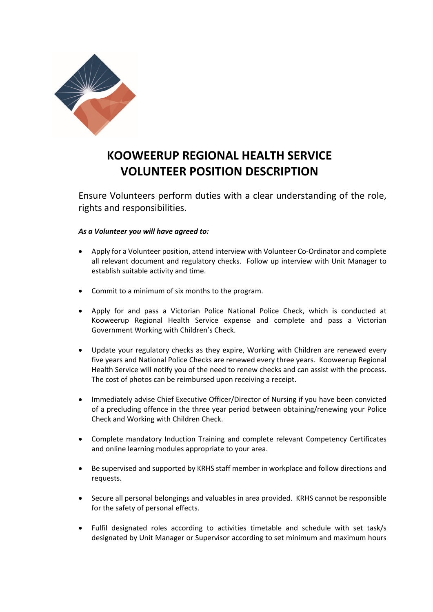

## **KOOWEERUP REGIONAL HEALTH SERVICE VOLUNTEER POSITION DESCRIPTION**

Ensure Volunteers perform duties with a clear understanding of the role, rights and responsibilities.

## *As a Volunteer you will have agreed to:*

- Apply for a Volunteer position, attend interview with Volunteer Co-Ordinator and complete all relevant document and regulatory checks. Follow up interview with Unit Manager to establish suitable activity and time.
- Commit to a minimum of six months to the program.
- Apply for and pass a Victorian Police National Police Check, which is conducted at Kooweerup Regional Health Service expense and complete and pass a Victorian Government Working with Children's Check.
- Update your regulatory checks as they expire, Working with Children are renewed every five years and National Police Checks are renewed every three years. Kooweerup Regional Health Service will notify you of the need to renew checks and can assist with the process. The cost of photos can be reimbursed upon receiving a receipt.
- Immediately advise Chief Executive Officer/Director of Nursing if you have been convicted of a precluding offence in the three year period between obtaining/renewing your Police Check and Working with Children Check.
- Complete mandatory Induction Training and complete relevant Competency Certificates and online learning modules appropriate to your area.
- Be supervised and supported by KRHS staff member in workplace and follow directions and requests.
- Secure all personal belongings and valuables in area provided. KRHS cannot be responsible for the safety of personal effects.
- Fulfil designated roles according to activities timetable and schedule with set task/s designated by Unit Manager or Supervisor according to set minimum and maximum hours